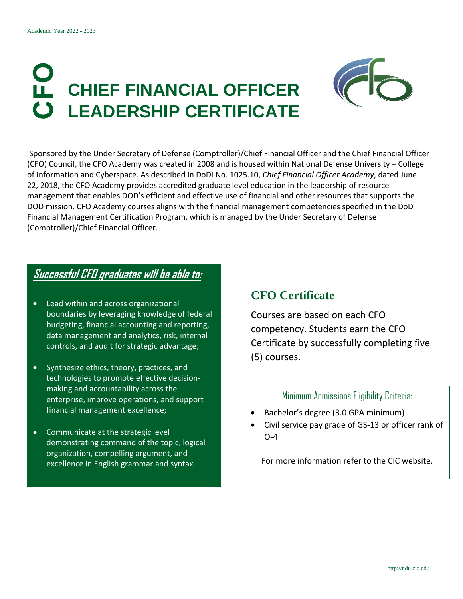# **CHIEF FINANCIAL OFFICER LEADERSHIP CERTIFICATE**



Sponsored by the Under Secretary of Defense (Comptroller)/Chief Financial Officer and the Chief Financial Officer (CFO) Council, the CFO Academy was created in 2008 and is housed within National Defense University – College of Information and Cyberspace. As described in DoDI No. 1025.10, *Chief Financial Officer Academy*, dated June 22, 2018, the CFO Academy provides accredited graduate level education in the leadership of resource management that enables DOD's efficient and effective use of financial and other resources that supports the DOD mission. CFO Academy courses aligns with the financial management competencies specified in the DoD Financial Management Certification Program, which is managed by the Under Secretary of Defense (Comptroller)/Chief Financial Officer.

### **Successful CFO graduates will be able to:**

- Lead within and across organizational boundaries by leveraging knowledge of federal budgeting, financial accounting and reporting, data management and analytics, risk, internal controls, and audit for strategic advantage;
- Synthesize ethics, theory, practices, and technologies to promote effective decisionmaking and accountability across the enterprise, improve operations, and support financial management excellence;
- Communicate at the strategic level demonstrating command of the topic, logical organization, compelling argument, and excellence in English grammar and syntax.

#### **CFO Certificate**

Courses are based on each CFO competency. Students earn the CFO Certificate by successfully completing five (5) courses.

#### Minimum Admissions Eligibility Criteria:

- Bachelor's degree (3.0 GPA minimum)
- Civil service pay grade of GS-13 or officer rank of O-4

For more information refer to the CIC website.